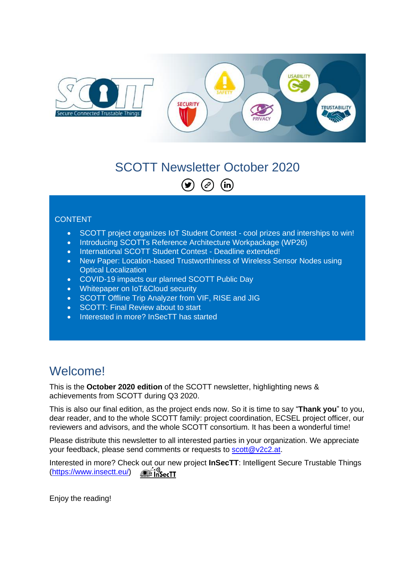

#### SCOTT Newsletter October 2020  $\odot$  $\circledcirc$  (in)

#### **CONTENT**

- SCOTT project organizes IoT Student Contest cool prizes and interships to win!
- Introducing SCOTTs Reference Architecture Workpackage (WP26)
- International SCOTT Student Contest Deadline extended!
- New Paper: Location-based Trustworthiness of Wireless Sensor Nodes using Optical Localization
- COVID-19 impacts our planned SCOTT Public Day
- Whitepaper on IoT&Cloud security
- SCOTT Offline Trip Analyzer from VIF, RISE and JIG
- SCOTT: Final Review about to start
- Interested in more? InSecTT has started

### **Welcome!**

This is the **October 2020 edition** of the SCOTT newsletter, highlighting news & achievements from SCOTT during Q3 2020.

This is also our final edition, as the project ends now. So it is time to say "**Thank you**" to you, dear reader, and to the whole SCOTT family: project coordination, ECSEL project officer, our reviewers and advisors, and the whole SCOTT consortium. It has been a wonderful time!

Please distribute this newsletter to all interested parties in your organization. We appreciate your feedback, please send comments or requests to [scott@v2c2.at.](mailto:scott@v2c2.at)

Interested in more? Check out our new project **InSecTT**: Intelligent Secure Trustable Things a´:))<br>⊠ InSecTT [\(https://www.insectt.eu/\)](https://www.insectt.eu/)

Enjoy the reading!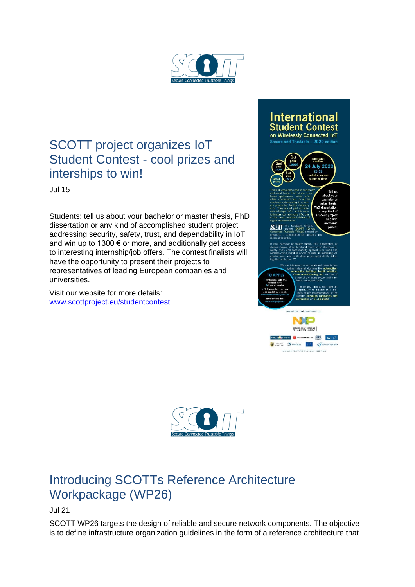

## SCOTT project organizes IoT Student Contest - cool prizes and interships to win!

Jul 15

Students: tell us about your bachelor or master thesis, PhD dissertation or any kind of accomplished student project addressing security, safety, trust, and dependability in IoT and win up to 1300  $\epsilon$  or more, and additionally get access to interesting internship/job offers. The contest finalists will have the opportunity to present their projects to representatives of leading European companies and universities.

Visit our website for more details: [www.scottproject.eu/studentcontest](http://www.scottproject.eu/studentcontest)





# Introducing SCOTTs Reference Architecture Workpackage (WP26)

Jul 21

SCOTT WP26 targets the design of reliable and secure network components. The objective is to define infrastructure organization guidelines in the form of a reference architecture that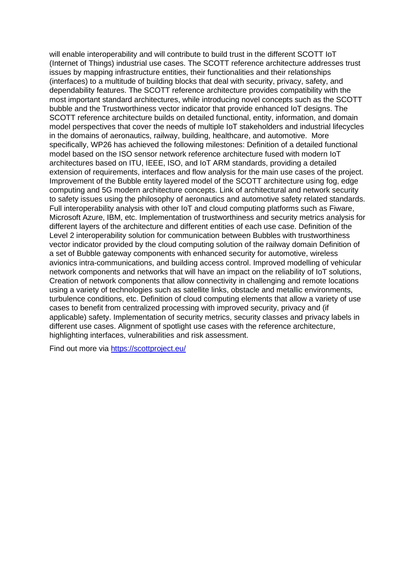will enable interoperability and will contribute to build trust in the different SCOTT IoT (Internet of Things) industrial use cases. The SCOTT reference architecture addresses trust issues by mapping infrastructure entities, their functionalities and their relationships (interfaces) to a multitude of building blocks that deal with security, privacy, safety, and dependability features. The SCOTT reference architecture provides compatibility with the most important standard architectures, while introducing novel concepts such as the SCOTT bubble and the Trustworthiness vector indicator that provide enhanced IoT designs. The SCOTT reference architecture builds on detailed functional, entity, information, and domain model perspectives that cover the needs of multiple IoT stakeholders and industrial lifecycles in the domains of aeronautics, railway, building, healthcare, and automotive. More specifically, WP26 has achieved the following milestones: Definition of a detailed functional model based on the ISO sensor network reference architecture fused with modern IoT architectures based on ITU, IEEE, ISO, and IoT ARM standards, providing a detailed extension of requirements, interfaces and flow analysis for the main use cases of the project. Improvement of the Bubble entity layered model of the SCOTT architecture using fog, edge computing and 5G modern architecture concepts. Link of architectural and network security to safety issues using the philosophy of aeronautics and automotive safety related standards. Full interoperability analysis with other IoT and cloud computing platforms such as Fiware, Microsoft Azure, IBM, etc. Implementation of trustworthiness and security metrics analysis for different layers of the architecture and different entities of each use case. Definition of the Level 2 interoperability solution for communication between Bubbles with trustworthiness vector indicator provided by the cloud computing solution of the railway domain Definition of a set of Bubble gateway components with enhanced security for automotive, wireless avionics intra-communications, and building access control. Improved modelling of vehicular network components and networks that will have an impact on the reliability of IoT solutions, Creation of network components that allow connectivity in challenging and remote locations using a variety of technologies such as satellite links, obstacle and metallic environments, turbulence conditions, etc. Definition of cloud computing elements that allow a variety of use cases to benefit from centralized processing with improved security, privacy and (if applicable) safety. Implementation of security metrics, security classes and privacy labels in different use cases. Alignment of spotlight use cases with the reference architecture, highlighting interfaces, vulnerabilities and risk assessment.

Find out more via<https://scottproject.eu/>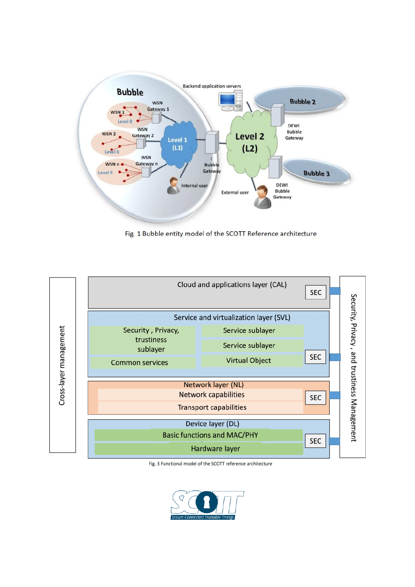

Fig. 1 Bubble entity model of the SCOTT Reference architecture



Fig. 3 Functional model of the SCOTT reference architecture

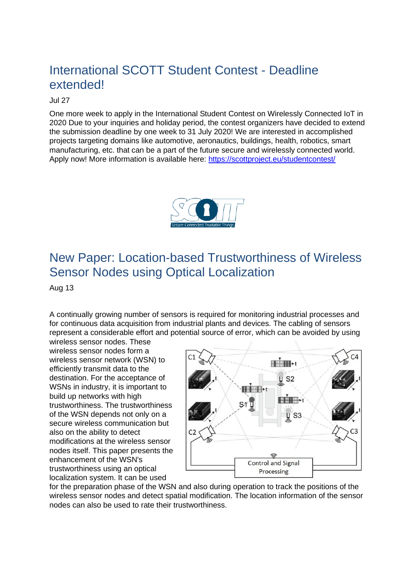## International SCOTT Student Contest - Deadline extended!

#### Jul 27

One more week to apply in the International Student Contest on Wirelessly Connected IoT in 2020 Due to your inquiries and holiday period, the contest organizers have decided to extend the submission deadline by one week to 31 July 2020! We are interested in accomplished projects targeting domains like automotive, aeronautics, buildings, health, robotics, smart manufacturing, etc. that can be a part of the future secure and wirelessly connected world. Apply now! More information is available here:<https://scottproject.eu/studentcontest/>



## New Paper: Location-based Trustworthiness of Wireless Sensor Nodes using Optical Localization

Aug 13

A continually growing number of sensors is required for monitoring industrial processes and for continuous data acquisition from industrial plants and devices. The cabling of sensors represent a considerable effort and potential source of error, which can be avoided by using

wireless sensor nodes. These wireless sensor nodes form a wireless sensor network (WSN) to efficiently transmit data to the destination. For the acceptance of WSNs in industry, it is important to build up networks with high trustworthiness. The trustworthiness of the WSN depends not only on a secure wireless communication but also on the ability to detect modifications at the wireless sensor nodes itself. This paper presents the enhancement of the WSN's trustworthiness using an optical localization system. It can be used



for the preparation phase of the WSN and also during operation to track the positions of the wireless sensor nodes and detect spatial modification. The location information of the sensor nodes can also be used to rate their trustworthiness.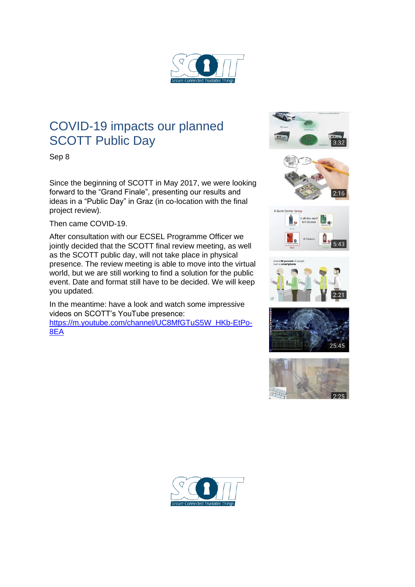

## COVID-19 impacts our planned SCOTT Public Day

Sep 8

Since the beginning of SCOTT in May 2017, we were looking forward to the "Grand Finale", presenting our results and ideas in a "Public Day" in Graz (in co-location with the final project review).

Then came COVID-19.

After consultation with our ECSEL Programme Officer we jointly decided that the SCOTT final review meeting, as well as the SCOTT public day, will not take place in physical presence. The review meeting is able to move into the virtual world, but we are still working to find a solution for the public event. Date and format still have to be decided. We will keep you updated.

In the meantime: have a look and watch some impressive videos on SCOTT's YouTube presence: [https://m.youtube.com/channel/UC8MfGTuS5W\\_HKb-EtPo-](https://m.youtube.com/channel/UC8MfGTuS5W_HKb-EtPo-8EA)[8EA](https://m.youtube.com/channel/UC8MfGTuS5W_HKb-EtPo-8EA)



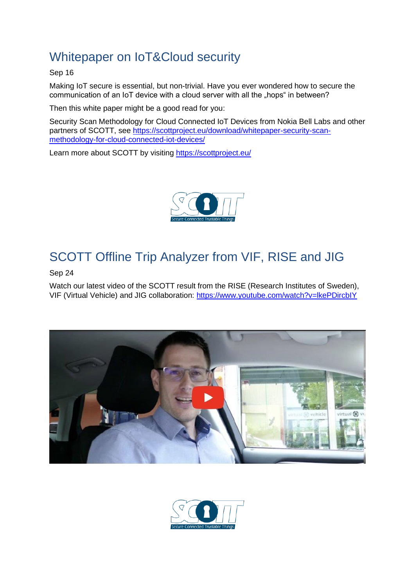# Whitepaper on IoT&Cloud security

Sep 16

Making IoT secure is essential, but non-trivial. Have you ever wondered how to secure the communication of an IoT device with a cloud server with all the "hops" in between?

Then this white paper might be a good read for you:

Security Scan Methodology for Cloud Connected IoT Devices from Nokia Bell Labs and other partners of SCOTT, see [https://scottproject.eu/download/whitepaper-security-scan](https://scottproject.eu/download/whitepaper-security-scan-methodology-for-cloud-connected-iot-devices/)[methodology-for-cloud-connected-iot-devices/](https://scottproject.eu/download/whitepaper-security-scan-methodology-for-cloud-connected-iot-devices/)

Learn more about SCOTT by visiting<https://scottproject.eu/>



# [SCOTT Offline Trip Analyzer from VIF, RISE and JIG](https://www.researchgate.net/project/SCOTT-Secure-Connected-Trustable-Things/update/5f6cb241e66b860001a4033a?_iepl%5BviewId%5D=RZ7jvricBQyPd1k1XXzyUVeX&_iepl%5Bcontexts%5D%5B0%5D=projectUpdatesLog&_iepl%5BinteractionType%5D=projectUpdateDetailClickThrough)

Sep 24

Watch our latest video of the SCOTT result from the RISE (Research Institutes of Sweden), VIF (Virtual Vehicle) and JIG collaboration: [https://www.youtube.com/watch?v=lkePDircbIY](https://www.researchgate.net/deref/https%3A%2F%2Fwww.youtube.com%2Fwatch%3Fv%3DlkePDircbIY)



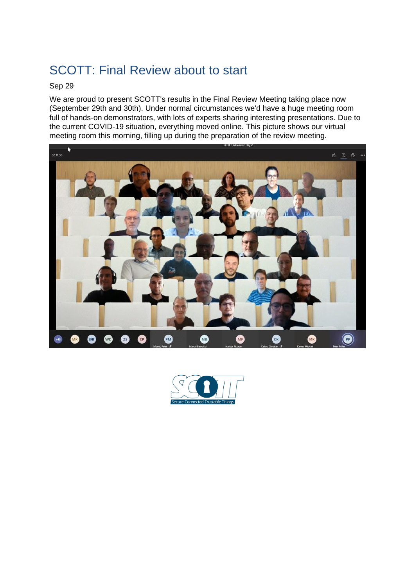# [SCOTT: Final Review about to start](https://www.researchgate.net/project/SCOTT-Secure-Connected-Trustable-Things/update/5f72f749828e0b0001582d4c?_iepl%5BviewId%5D=RZ7jvricBQyPd1k1XXzyUVeX&_iepl%5Bcontexts%5D%5B0%5D=projectUpdatesLog&_iepl%5BinteractionType%5D=projectUpdateDetailClickThrough)

#### Sep 29

We are proud to present SCOTT's results in the Final Review Meeting taking place now (September 29th and 30th). Under normal circumstances we'd have a huge meeting room full of hands-on demonstrators, with lots of experts sharing interesting presentations. Due to the current COVID-19 situation, everything moved online. This picture shows our virtual meeting room this morning, filling up during the preparation of the review meeting.